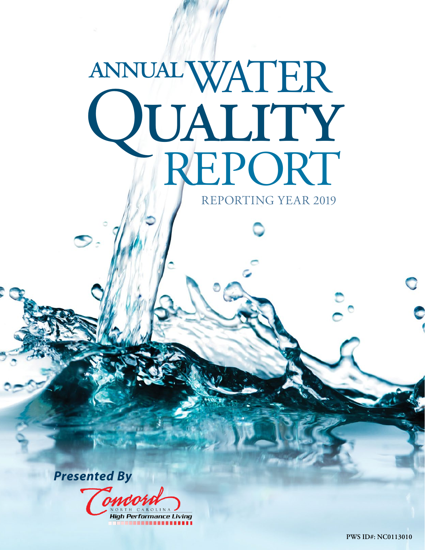# WATER **LIALITY**<br>TREPORT annual REPORTING YEAR 2019

*Presented By*

ondo **High Performance Living** 

**PWS ID#: NC0113010**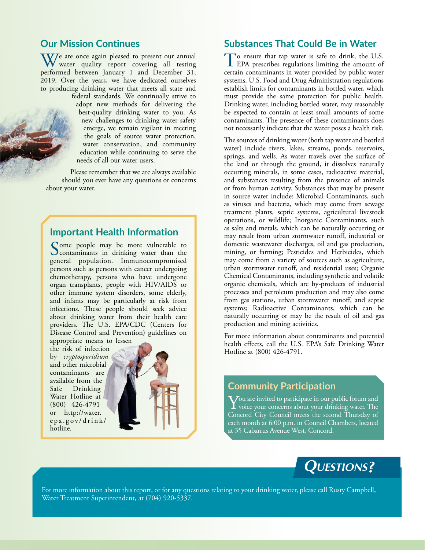### **Our Mission Continues**

 $\mathbf{W}$ <sup>e</sup> are once again pleased to present our annual water quality report covering all testing performed between January 1 and December 31, 2019. Over the years, we have dedicated ourselves to producing drinking water that meets all state and federal standards. We continually strive to

adopt new methods for delivering the best-quality drinking water to you. As new challenges to drinking water safety emerge, we remain vigilant in meeting the goals of source water protection, water conservation, and community education while continuing to serve the needs of all our water users.

Please remember that we are always available should you ever have any questions or concerns about your water.

## **Important Health Information**

Some people may be more vulnerable to<br>
contaminants in drinking water than the<br>
contaminants in the may be more comparation general population. Immunocompromised persons such as persons with cancer undergoing chemotherapy, persons who have undergone organ transplants, people with HIV/AIDS or other immune system disorders, some elderly, and infants may be particularly at risk from infections. These people should seek advice about drinking water from their health care providers. The U.S. EPA/CDC (Centers for Disease Control and Prevention) guidelines on appropriate means to lessen

the risk of infection by *cryptosporidium* and other microbial contaminants are available from the<br>Safe Drinking Drinking Water Hotline at (800) 426-4791 or [http://water.](http://water.epa.gov/drink/hotline) [epa.gov/drink/](http://water.epa.gov/drink/hotline) [hotline.](http://water.epa.gov/drink/hotline)



#### **Substances That Could Be in Water**

To ensure that tap water is safe to drink, the U.S.<br>EPA prescribes regulations limiting the amount of certain contaminants in water provided by public water systems. U.S. Food and Drug Administration regulations establish limits for contaminants in bottled water, which must provide the same protection for public health. Drinking water, including bottled water, may reasonably be expected to contain at least small amounts of some contaminants. The presence of these contaminants does not necessarily indicate that the water poses a health risk.

The sources of drinking water (both tap water and bottled water) include rivers, lakes, streams, ponds, reservoirs, springs, and wells. As water travels over the surface of the land or through the ground, it dissolves naturally occurring minerals, in some cases, radioactive material, and substances resulting from the presence of animals or from human activity. Substances that may be present in source water include: Microbial Contaminants, such as viruses and bacteria, which may come from sewage treatment plants, septic systems, agricultural livestock operations, or wildlife; Inorganic Contaminants, such as salts and metals, which can be naturally occurring or may result from urban stormwater runoff, industrial or domestic wastewater discharges, oil and gas production, mining, or farming; Pesticides and Herbicides, which may come from a variety of sources such as agriculture, urban stormwater runoff, and residential uses; Organic Chemical Contaminants, including synthetic and volatile organic chemicals, which are by-products of industrial processes and petroleum production and may also come from gas stations, urban stormwater runoff, and septic systems; Radioactive Contaminants, which can be naturally occurring or may be the result of oil and gas production and mining activities.

For more information about contaminants and potential health effects, call the U.S. EPA's Safe Drinking Water Hotline at (800) 426-4791.

## **Community Participation**

 $\sum$ ou are invited to participate in our public forum and<br>Civice your concerns about your drinking water. The<br>Canceral City Council maste the accord Thumder of Concord City Council meets the second Thursday of each month at 6:00 p.m. in Council Chambers, located at 35 Cabarrus Avenue West, Concord.



For more information about this report, or for any questions relating to your drinking water, please call Rusty Campbell, Water Treatment Superintendent, at (704) 920-5337.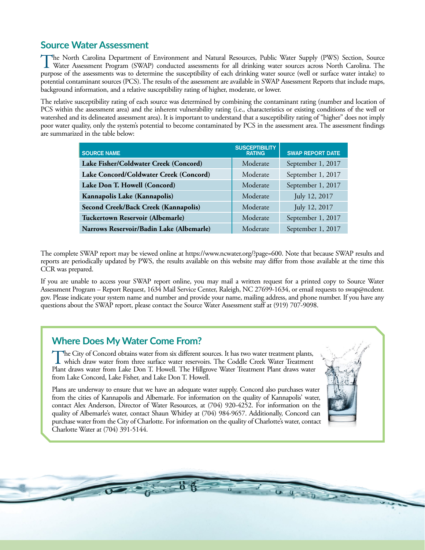# **Source Water Assessment**

The North Carolina Department of Environment and Natural Resources, Public Water Supply (PWS) Section, Source Water Assessment Program (SWAP) conducted assessments for all drinking water sources across North Carolina. The purpose of the assessments was to determine the susceptibility of each drinking water source (well or surface water intake) to potential contaminant sources (PCS). The results of the assessment are available in SWAP Assessment Reports that include maps, background information, and a relative susceptibility rating of higher, moderate, or lower.

The relative susceptibility rating of each source was determined by combining the contaminant rating (number and location of PCS within the assessment area) and the inherent vulnerability rating (i.e., characteristics or existing conditions of the well or watershed and its delineated assessment area). It is important to understand that a susceptibility rating of "higher" does not imply poor water quality, only the system's potential to become contaminated by PCS in the assessment area. The assessment findings are summarized in the table below:

| <b>SOURCE NAME</b>                       | <b>SUSCEPTIBILITY</b><br><b>RATING</b> | <b>SWAP REPORT DATE</b> |
|------------------------------------------|----------------------------------------|-------------------------|
| Lake Fisher/Coldwater Creek (Concord)    | Moderate                               | September 1, 2017       |
| Lake Concord/Coldwater Creek (Concord)   | Moderate                               | September 1, 2017       |
| Lake Don T. Howell (Concord)             | Moderate                               | September 1, 2017       |
| Kannapolis Lake (Kannapolis)             | Moderate                               | July 12, 2017           |
| Second Creek/Back Creek (Kannapolis)     | Moderate                               | July 12, 2017           |
| Tuckertown Reservoir (Albemarle)         | Moderate                               | September 1, 2017       |
| Narrows Reservoir/Badin Lake (Albemarle) | Moderate                               | September 1, 2017       |

The complete SWAP report may be viewed online at <https://www.ncwater.org/?page=600>. Note that because SWAP results and reports are periodically updated by PWS, the results available on this website may differ from those available at the time this CCR was prepared.

If you are unable to access your SWAP report online, you may mail a written request for a printed copy to Source Water Assessment Program – Report Request, 1634 Mail Service Center, Raleigh, NC 27699-1634, or email requests to [swap@ncdenr.](mailto:swap@ncdenr.gov) [gov](mailto:swap@ncdenr.gov). Please indicate your system name and number and provide your name, mailing address, and phone number. If you have any questions about the SWAP report, please contact the Source Water Assessment staff at (919) 707-9098.

## **Where Does My Water Come From?**

The City of Concord obtains water from six different sources. It has two water treatment plants, which draw water from three surface water reservoirs. The Coddle Creek Water Treatment plants, Plant draws water from Lake Don T. Howell. The Hillgrove Water Treatment Plant draws water from Lake Concord, Lake Fisher, and Lake Don T. Howell.

Plans are underway to ensure that we have an adequate water supply. Concord also purchases water from the cities of Kannapolis and Albemarle. For information on the quality of Kannapolis' water, contact Alex Anderson, Director of Water Resources, at (704) 920-4252. For information on the quality of Albemarle's water, contact Shaun Whitley at (704) 984-9657. Additionally, Concord can purchase water from the City of Charlotte. For information on the quality of Charlotte's water, contact Charlotte Water at (704) 391-5144.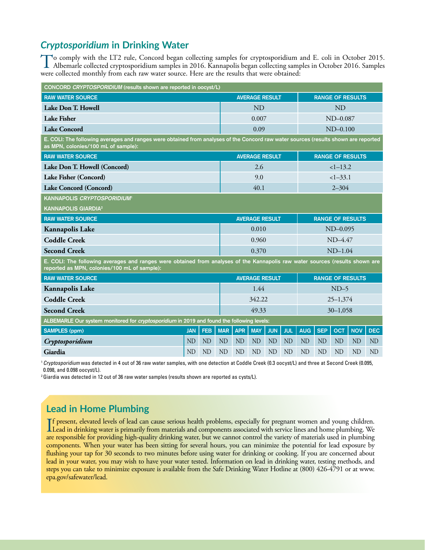# *Cryptosporidium* **in Drinking Water**

To comply with the LT2 rule, Concord began collecting samples for cryptosporidium and E. coli in October 2015.<br>Albemarle collected cryptosporidium samples in 2016. Kannapolis began collecting samples in October 2016. Sampl were collected monthly from each raw water source. Here are the results that were obtained:

| CONCORD CRYPTOSPORIDIUM (results shown are reported in oocyst/L)                                                                                                              |                                        |                       |           |                       |                       |                         |                         |                         |                |                |                         |                |  |
|-------------------------------------------------------------------------------------------------------------------------------------------------------------------------------|----------------------------------------|-----------------------|-----------|-----------------------|-----------------------|-------------------------|-------------------------|-------------------------|----------------|----------------|-------------------------|----------------|--|
| <b>RAW WATER SOURCE</b>                                                                                                                                                       |                                        |                       |           |                       | <b>AVERAGE RESULT</b> |                         | <b>RANGE OF RESULTS</b> |                         |                |                |                         |                |  |
| Lake Don T. Howell                                                                                                                                                            |                                        |                       |           |                       | <b>ND</b>             |                         |                         |                         | <b>ND</b>      |                |                         |                |  |
| <b>Lake Fisher</b>                                                                                                                                                            |                                        |                       |           |                       | 0.007                 |                         |                         |                         |                | $ND-0.087$     |                         |                |  |
| <b>Lake Concord</b>                                                                                                                                                           |                                        |                       |           | 0.09                  |                       |                         |                         |                         | $ND-0.100$     |                |                         |                |  |
| E. COLI: The following averages and ranges were obtained from analyses of the Concord raw water sources (results shown are reported<br>as MPN, colonies/100 mL of sample):    |                                        |                       |           |                       |                       |                         |                         |                         |                |                |                         |                |  |
| <b>RAW WATER SOURCE</b>                                                                                                                                                       |                                        |                       |           |                       | <b>AVERAGE RESULT</b> |                         |                         |                         |                |                | <b>RANGE OF RESULTS</b> |                |  |
| Lake Don T. Howell (Concord)                                                                                                                                                  |                                        |                       |           |                       | 2.6                   |                         |                         |                         |                | $<1-13.2$      |                         |                |  |
| Lake Fisher (Concord)                                                                                                                                                         |                                        |                       |           |                       | 9.0                   |                         |                         |                         |                | $<1-33.1$      |                         |                |  |
| Lake Concord (Concord)                                                                                                                                                        |                                        |                       |           |                       | 40.1                  |                         |                         |                         |                | $2 - 304$      |                         |                |  |
| <b>KANNAPOLIS CRYPTOSPORIDIUM<sup>®</sup></b>                                                                                                                                 |                                        |                       |           |                       |                       |                         |                         |                         |                |                |                         |                |  |
| <b>KANNAPOLIS GIARDIA<sup>2</sup></b>                                                                                                                                         |                                        |                       |           |                       |                       |                         |                         |                         |                |                |                         |                |  |
| <b>RAW WATER SOURCE</b>                                                                                                                                                       |                                        | <b>AVERAGE RESULT</b> |           |                       |                       | <b>RANGE OF RESULTS</b> |                         |                         |                |                |                         |                |  |
| Kannapolis Lake                                                                                                                                                               |                                        |                       |           | 0.010                 |                       |                         |                         | ND-0.095                |                |                |                         |                |  |
| <b>Coddle Creek</b>                                                                                                                                                           |                                        |                       |           |                       | 0.960                 |                         |                         | $ND-4.47$               |                |                |                         |                |  |
| <b>Second Creek</b>                                                                                                                                                           |                                        |                       |           | 0.370                 |                       |                         |                         |                         | $ND-1.04$      |                |                         |                |  |
| E. COLI: The following averages and ranges were obtained from analyses of the Kannapolis raw water sources (results shown are<br>reported as MPN, colonies/100 mL of sample): |                                        |                       |           |                       |                       |                         |                         |                         |                |                |                         |                |  |
| <b>RAW WATER SOURCE</b>                                                                                                                                                       |                                        |                       |           | <b>AVERAGE RESULT</b> |                       |                         |                         | <b>RANGE OF RESULTS</b> |                |                |                         |                |  |
| Kannapolis Lake                                                                                                                                                               |                                        |                       |           | 1.44                  |                       |                         |                         | $ND-5$                  |                |                |                         |                |  |
| <b>Coddle Creek</b>                                                                                                                                                           |                                        |                       |           |                       | 342.22                |                         |                         | $25 - 1,374$            |                |                |                         |                |  |
| <b>Second Creek</b>                                                                                                                                                           |                                        |                       |           |                       |                       | 49.33                   |                         |                         |                | $30 - 1,058$   |                         |                |  |
| ALBEMARLE Our system monitored for cryptosporidium in 2019 and found the following levels:                                                                                    |                                        |                       |           |                       |                       |                         |                         |                         |                |                |                         |                |  |
| <b>SAMPLES (ppm)</b>                                                                                                                                                          | <b>MAR</b><br><b>FEB</b><br><b>JAN</b> |                       |           |                       | <b>MAY</b>            | <b>JUN</b>              | <b>JUL</b>              | <b>AUG</b>              | <b>SEP</b>     | <b>OCT</b>     | <b>NOV</b>              | <b>DEC</b>     |  |
| Cryptosporidium                                                                                                                                                               | <b>ND</b>                              | <b>ND</b>             | <b>ND</b> | N <sub>D</sub>        | <b>ND</b>             | <b>ND</b>               | <b>ND</b>               | <b>ND</b>               | ND             | N <sub>D</sub> | N <sub>D</sub>          | N <sub>D</sub> |  |
| Giardia                                                                                                                                                                       | <b>ND</b>                              | ND                    | <b>ND</b> | <b>ND</b>             | <b>ND</b>             | <b>ND</b>               | <b>ND</b>               | <b>ND</b>               | N <sub>D</sub> | ND             | N <sub>D</sub>          | <b>ND</b>      |  |

<sup>1</sup> Cryptosporidium was detected in 4 out of 36 raw water samples, with one detection at Coddle Creek (0.3 oocyst/L) and three at Second Creek (0.095, 0.098, and 0.098 oocyst/L).

<sup>2</sup> Giardia was detected in 12 out of 36 raw water samples (results shown are reported as cysts/L).

# **Lead in Home Plumbing**

If present, elevated levels of lead can cause serious health problems, especially for pregnant women and young children.<br>Lead in drinking water is primarily from materials and components associated with service lines and h Lead in drinking water is primarily from materials and components associated with service lines and home plumbing. We are responsible for providing high-quality drinking water, but we cannot control the variety of materials used in plumbing components. When your water has been sitting for several hours, you can minimize the potential for lead exposure by flushing your tap for 30 seconds to two minutes before using water for drinking or cooking. If you are concerned about lead in your water, you may wish to have your water tested. Information on lead in drinking water, testing methods, and steps you can take to minimize exposure is available from the Safe Drinking Water Hotline at (800) 426-4791 or at [www.](http://www.epa.gov/safewater/lead) [epa.gov/safewater/lead.](http://www.epa.gov/safewater/lead)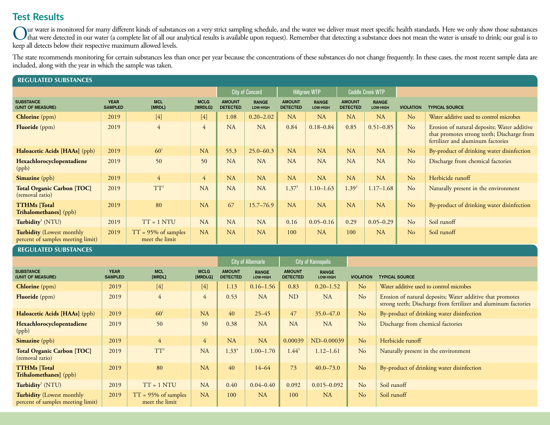# **Test Results**

Our water is monitored for many different kinds of substances on a very strict sampling schedule, and the water we deliver must meet specific health standards. Here we only show those substances under that were detected in keep all detects below their respective maximum allowed levels.

The state recommends monitoring for certain substances less than once per year because the concentrations of these substances do not change frequently. In these cases, the most recent sample data are included, along with the year in which the sample was taken.

| <b>REGULATED SUBSTANCES</b>                                           |                               |                                          |                        |                                  |                          |                                  |                                                 |                                  |                          |                  |                                                                                                                                |
|-----------------------------------------------------------------------|-------------------------------|------------------------------------------|------------------------|----------------------------------|--------------------------|----------------------------------|-------------------------------------------------|----------------------------------|--------------------------|------------------|--------------------------------------------------------------------------------------------------------------------------------|
|                                                                       |                               |                                          |                        |                                  | <b>City of Concord</b>   |                                  | <b>Hillgrove WTP</b><br><b>Coddle Creek WTP</b> |                                  |                          |                  |                                                                                                                                |
| <b>SUBSTANCE</b><br>(UNIT OF MEASURE)                                 | <b>YEAR</b><br><b>SAMPLED</b> | <b>MCL</b><br>[MRDL]                     | <b>MCLG</b><br>[MRDLG] | <b>AMOUNT</b><br><b>DETECTED</b> | <b>RANGE</b><br>LOW-HIGH | <b>AMOUNT</b><br><b>DETECTED</b> | <b>RANGE</b><br>LOW-HIGH                        | <b>AMOUNT</b><br><b>DETECTED</b> | <b>RANGE</b><br>LOW-HIGH | <b>VIOLATION</b> | <b>TYPICAL SOURCE</b>                                                                                                          |
| <b>Chlorine</b> (ppm)                                                 | 2019                          | $[4]$                                    | $[4]$                  | 1.08                             | $0.20 - 2.02$            | <b>NA</b>                        | NA                                              | <b>NA</b>                        | <b>NA</b>                | No               | Water additive used to control microbes                                                                                        |
| <b>Fluoride</b> (ppm)                                                 | 2019                          | $\overline{4}$                           | $\overline{4}$         | NA                               | NA                       | 0.84                             | $0.18 - 0.84$                                   | 0.85                             | $0.51 - 0.85$            | No               | Erosion of natural deposits; Water additive<br>that promotes strong teeth; Discharge from<br>fertilizer and aluminum factories |
| Haloacetic Acids [HAAs] (ppb)                                         | 2019                          | 60 <sup>1</sup>                          | NA                     | 55.3                             | $25.0 - 60.3$            | NA                               | NA                                              | NA                               | NA                       | N <sub>o</sub>   | By-product of drinking water disinfection                                                                                      |
| Hexachlorocyclopentadiene<br>(ppb)                                    | 2019                          | 50                                       | 50                     | NA                               | NA                       | NA                               | NA                                              | <b>NA</b>                        | <b>NA</b>                | No               | Discharge from chemical factories                                                                                              |
| <b>Simazine</b> (ppb)                                                 | 2019                          | $\overline{4}$                           | $\overline{4}$         | NA                               | NA                       | <b>NA</b>                        | <b>NA</b>                                       | <b>NA</b>                        | <b>NA</b>                | No               | Herbicide runoff                                                                                                               |
| <b>Total Organic Carbon [TOC]</b><br>(removal ratio)                  | 2019                          | $TT^2$                                   | <b>NA</b>              | NA                               | NA                       | $1.37^{3}$                       | $1.10 - 1.63$                                   | $1.39^{3}$                       | $1.17 - 1.68$            | No               | Naturally present in the environment                                                                                           |
| <b>TTHMs</b> [Total<br><b>Trihalomethanes</b> ] (ppb)                 | 2019                          | 80                                       | NA                     | 67                               | $15.7 - 76.9$            | <b>NA</b>                        | NA                                              | <b>NA</b>                        | <b>NA</b>                | N <sub>o</sub>   | By-product of drinking water disinfection                                                                                      |
| Turbidity <sup>5</sup> (NTU)                                          | 2019                          | $TT = 1 NTU$                             | <b>NA</b>              | NA                               | NA                       | 0.16                             | $0.05 - 0.16$                                   | 0.29                             | $0.05 - 0.29$            | No               | Soil runoff                                                                                                                    |
| <b>Turbidity</b> (Lowest monthly<br>percent of samples meeting limit) | 2019                          | $TT = 95\%$ of samples<br>meet the limit | NA                     | NA                               | NA                       | 100                              | NA                                              | 100                              | <b>NA</b>                | No               | Soil runoff                                                                                                                    |

#### **REGULATED SUBSTANCES**

|                                                                       |                               |                                          |                        |                                  | <b>City of Albemarle</b> |                                  | <b>City of Kannapolis</b>       |                  |                                                                                                                             |
|-----------------------------------------------------------------------|-------------------------------|------------------------------------------|------------------------|----------------------------------|--------------------------|----------------------------------|---------------------------------|------------------|-----------------------------------------------------------------------------------------------------------------------------|
| <b>SUBSTANCE</b><br>(UNIT OF MEASURE)                                 | <b>YEAR</b><br><b>SAMPLED</b> | <b>MCL</b><br>[MRDL]                     | <b>MCLG</b><br>[MRDLG] | <b>AMOUNT</b><br><b>DETECTED</b> | <b>RANGE</b><br>LOW-HIGH | <b>AMOUNT</b><br><b>DETECTED</b> | <b>RANGE</b><br><b>LOW-HIGH</b> | <b>VIOLATION</b> | <b>TYPICAL SOURCE</b>                                                                                                       |
| <b>Chlorine</b> (ppm)                                                 | 2019                          | $[4]$                                    | $[4]$                  | 1.13                             | $0.16 - 1.56$            | 0.83                             | $0.20 - 1.52$                   | No               | Water additive used to control microbes                                                                                     |
| Fluoride (ppm)                                                        | 2019                          | $\overline{4}$                           | $\overline{4}$         | 0.53                             | <b>NA</b>                | <b>ND</b>                        | <b>NA</b>                       | N <sub>o</sub>   | Erosion of natural deposits; Water additive that promotes<br>strong teeth; Discharge from fertilizer and aluminum factories |
| Haloacetic Acids [HAAs] (ppb)                                         | 2019                          | $60^{1}$                                 | <b>NA</b>              | 40                               | $25 - 45$                | 47                               | $35.0 - 47.0$                   | N <sub>o</sub>   | By-product of drinking water disinfection                                                                                   |
| Hexachlorocyclopentadiene<br>(ppb)                                    | 2019                          | 50                                       | 50                     | 0.38                             | <b>NA</b>                | NA                               | NA                              | N <sub>o</sub>   | Discharge from chemical factories                                                                                           |
| Simazine (ppb)                                                        | 2019                          | $\overline{4}$                           | $\overline{4}$         | <b>NA</b>                        | NA                       | 0.00039                          | ND-0.00039                      | N <sub>o</sub>   | Herbicide runoff                                                                                                            |
| <b>Total Organic Carbon [TOC]</b><br>(removal ratio)                  | 2019                          | $TT^2$                                   | NA                     | $1.33^{4}$                       | $1.00 - 1.70$            | $1.44^{3}$                       | $1.12 - 1.61$                   | N <sub>o</sub>   | Naturally present in the environment                                                                                        |
| <b>TTHMs</b> [Total<br><b>Trihalomethanes</b> (ppb)                   | 2019                          | 80                                       | <b>NA</b>              | 40                               | $14 - 64$                | 73                               | $40.0 - 73.0$                   | N <sub>o</sub>   | By-product of drinking water disinfection                                                                                   |
| Turbidity <sup>5</sup> (NTU)                                          | 2019                          | $TT = 1 NTU$                             | <b>NA</b>              | 0.40                             | $0.04 - 0.40$            | 0.092                            | $0.015 - 0.092$                 | N <sub>o</sub>   | Soil runoff                                                                                                                 |
| <b>Turbidity</b> (Lowest monthly<br>percent of samples meeting limit) | 2019                          | $TT = 95\%$ of samples<br>meet the limit | NA                     | 100                              | NA                       | 100                              | <b>NA</b>                       | N <sub>o</sub>   | Soil runoff                                                                                                                 |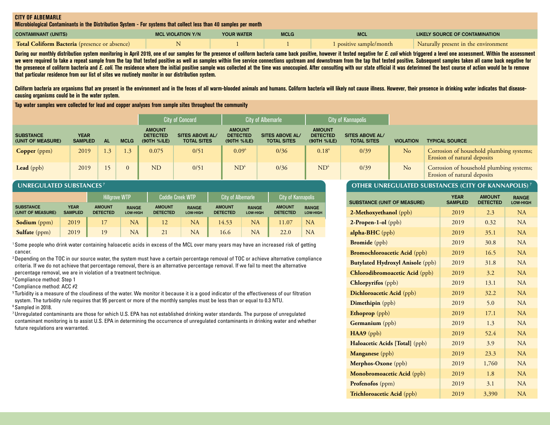#### **CITY OF ALBEMARLE**

**Microbiological Contaminants in the Distribution System - For systems that collect less than 40 samples per month**

| <b>CONTAMINANT (UNITS)</b>                           | <b>MCL VIOLATION Y/N</b> | <b>YOUR WATER</b> | <b>MCLG</b> | <b>MCL</b>            | LIKELY SOURCE OF CONTAMINATION       |
|------------------------------------------------------|--------------------------|-------------------|-------------|-----------------------|--------------------------------------|
| <b>Total Coliform Bacteria</b> (presence or absence) |                          |                   |             | positive sample/month | Naturally present in the environment |

During our monthly distribution system monitoring in April 2019, one of our samples for the presence of coliform bacteria came back positive, however it tested negative for E. coli which triggered a level one assessment. W we were required to take a repeat sample from the tap that tested positive as well as samples within five service connections upstream and downstream from the tap that tested positive. Subsequent samples taken all came bac the presenece of coliform bacteria and E. coli. The residence where the initial positive sample was collected at the time was unoccupied. After consulting with our state official it was deterimned the best course of action **that particular residence from our list of sites we routinely monitor in our distribution system.**

Coliform bacteria are organisms that are present in the environment and in the feces of all warm-blooded animals and humans. Coliform bacteria will likely not cause illness. However, their presence in drinking water indica **causing organisms could be in the water system.**

**Tap water samples were collected for lead and copper analyses from sample sites throughout the community**

|                                       |                        |                  |             |                                                 | <b>City of Concord</b>                       |                                                 | <b>City of Albemarle</b>                     | <b>City of Kannapolis</b>                       |                                       |                  |                                                                         |
|---------------------------------------|------------------------|------------------|-------------|-------------------------------------------------|----------------------------------------------|-------------------------------------------------|----------------------------------------------|-------------------------------------------------|---------------------------------------|------------------|-------------------------------------------------------------------------|
| <b>SUBSTANCE</b><br>(UNIT OF MEASURE) | YEAR<br><b>SAMPLED</b> | <b>AL</b>        | <b>MCLG</b> | <b>AMOUNT</b><br><b>DETECTED</b><br>(90TH %ILE) | <b>SITES ABOVE AL/</b><br><b>TOTAL SITES</b> | <b>AMOUNT</b><br><b>DETECTED</b><br>(90TH %ILE) | <b>SITES ABOVE AL/</b><br><b>TOTAL SITES</b> | <b>AMOUNT</b><br><b>DETECTED</b><br>(90TH %ILE) | SITES ABOVE AL/<br><b>TOTAL SITES</b> | <b>VIOLATION</b> | <b>TYPICAL SOURCE</b>                                                   |
| <b>Copper</b> (ppm)                   | 2019                   | $\left(3\right)$ | 1.3         | 0.075                                           | 0/51                                         | $0.09^6$                                        | 0/36                                         | $0.18^6$                                        | 0/39                                  | N <sub>o</sub>   | Corrosion of household plumbing systems;<br>Erosion of natural deposits |
| Lead (ppb)                            | 2019                   |                  | $\Omega$    | <b>ND</b>                                       | 0/51                                         | ND <sup>6</sup>                                 | 0/36                                         | ND <sup>6</sup>                                 | 0/39                                  | N <sub>o</sub>   | Corrosion of household plumbing systems;<br>Erosion of natural deposits |

#### **UNREGULATED SUBSTANCES 7**

|                                       |                               | <b>Hillarove WTP</b>             | LCoddle Creek WTP'       |                                  | <b>City of Albemarle</b>        |                                  | <b>City of Kannapolis</b>       |                                  |                          |
|---------------------------------------|-------------------------------|----------------------------------|--------------------------|----------------------------------|---------------------------------|----------------------------------|---------------------------------|----------------------------------|--------------------------|
| <b>SUBSTANCE</b><br>(UNIT OF MEASURE) | <b>YEAR</b><br><b>SAMPLED</b> | <b>AMOUNT</b><br><b>DETECTED</b> | <b>RANGE</b><br>LOW-HIGH | <b>AMOUNT</b><br><b>DETECTED</b> | <b>RANGE</b><br><b>LOW-HIGH</b> | <b>AMOUNT</b><br><b>DETECTED</b> | <b>RANGE</b><br><b>LOW-HIGH</b> | <b>AMOUNT</b><br><b>DETECTED</b> | <b>RANGE</b><br>LOW-HIGH |
| Sodium (ppm)                          | 2019                          |                                  | <b>NA</b>                | 12                               | NA                              | 14.53                            | <b>NA</b>                       | 11.07                            | NA                       |
| <b>Sulfate</b> (ppm)                  | 2019                          | 19                               | <b>NA</b>                | 21                               | <b>NA</b>                       | 16.6                             | <b>NA</b>                       | 22.0                             | <b>NA</b>                |

1 Some people who drink water containing haloacetic acids in excess of the MCL over many years may have an increased risk of getting cancer.

2 Depending on the TOC in our source water, the system must have a certain percentage removal of TOC or achieve alternative compliance criteria. If we do not achieve that percentage removal, there is an alternative percentage removal. If we fail to meet the alternative percentage removal, we are in violation of a treatment technique.

3 Compliance method: Step 1

4 Compliance method: ACC #2

<sup>5</sup> Turbidity is a measure of the cloudiness of the water. We monitor it because it is a good indicator of the effectiveness of our filtration system. The turbidity rule requires that 95 percent or more of the monthly samples must be less than or equal to 0.3 NTU. 6 Sampled in 2018.

7 Unregulated contaminants are those for which U.S. EPA has not established drinking water standards. The purpose of unregulated contaminant monitoring is to assist U.S. EPA in determining the occurrence of unregulated contaminants in drinking water and whether future regulations are warranted.

#### **OTHER UNREGULATED SUBSTANCES (CITY OF KANNAPOLIS) 7**

| <b>SUBSTANCE (UNIT OF MEASURE)</b>      | <b>YEAR</b><br><b>SAMPLED</b> | <b>AMOUNT</b><br><b>DETECTED</b> | <b>RANGE</b><br>LOW-HIGH |
|-----------------------------------------|-------------------------------|----------------------------------|--------------------------|
| 2-Methoxyethanol (ppb)                  | 2019                          | 2.3                              | <b>NA</b>                |
| $2$ -Propen-1-ol (ppb)                  | 2019                          | 0.32                             | NA                       |
| alpha-BHC (ppb)                         | 2019                          | 35.1                             | NA                       |
| <b>Bromide</b> (ppb)                    | 2019                          | 30.8                             | <b>NA</b>                |
| <b>Bromochloroacetic Acid</b> (ppb)     | 2019                          | 16.5                             | <b>NA</b>                |
| <b>Butylated Hydroxyl Anisole (ppb)</b> | 2019                          | 31.8                             | <b>NA</b>                |
| Chlorodibromoacetic Acid (ppb)          | 2019                          | 3.2                              | <b>NA</b>                |
| <b>Chlorpyrifos</b> (ppb)               | 2019                          | 13.1                             | NA                       |
| Dichloroacetic Acid (ppb)               | 2019                          | 32.2                             | NA                       |
| Dimethipin (ppb)                        | 2019                          | 5.0                              | NA                       |
| Ethoprop (ppb)                          | 2019                          | 17.1                             | <b>NA</b>                |
| Germanium (ppb)                         | 2019                          | 1.3                              | <b>NA</b>                |
| HAA9 (ppb)                              | 2019                          | 52.4                             | NA                       |
| Haloacetic Acids [Total] (ppb)          | 2019                          | 3.9                              | NA                       |
| <b>Manganese</b> (ppb)                  | 2019                          | 23.3                             | NA                       |
| Merphos-Oxone (ppb)                     | 2019                          | 1,760                            | NA                       |
| Monobromoacetic Acid (ppb)              | 2019                          | 1.8                              | NA                       |
| Profenofos (ppm)                        | 2019                          | 3.1                              | <b>NA</b>                |
| Trichloroacetic Acid (ppb)              | 2019                          | 3,390                            | NA                       |